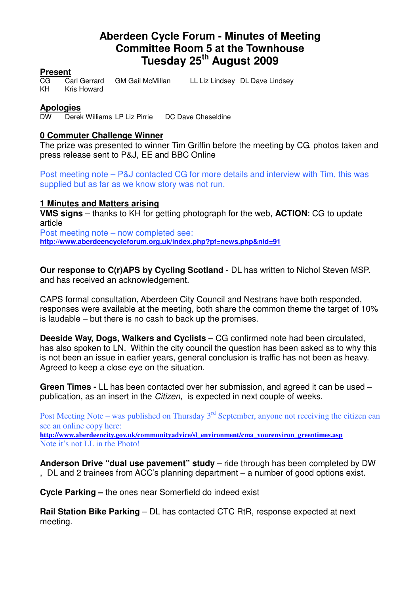# **Aberdeen Cycle Forum - Minutes of Meeting Committee Room 5 at the Townhouse Tuesday 25th August 2009**

# **Present**

KH Kris Howard

Carl Gerrard GM Gail McMillan LL Liz Lindsey DL Dave Lindsey

#### **Apologies**

DW Derek Williams LP Liz Pirrie DC Dave Cheseldine

#### **0 Commuter Challenge Winner**

The prize was presented to winner Tim Griffin before the meeting by CG, photos taken and press release sent to P&J, EE and BBC Online

Post meeting note – P&J contacted CG for more details and interview with Tim, this was supplied but as far as we know story was not run.

#### **1 Minutes and Matters arising**

**VMS signs** – thanks to KH for getting photograph for the web, **ACTION**: CG to update article Post meeting note – now completed see:

**http://www.aberdeencycleforum.org.uk/index.php?pf=news.php&nid=91**

**Our response to C(r)APS by Cycling Scotland** - DL has written to Nichol Steven MSP. and has received an acknowledgement.

CAPS formal consultation, Aberdeen City Council and Nestrans have both responded, responses were available at the meeting, both share the common theme the target of 10% is laudable – but there is no cash to back up the promises.

**Deeside Way, Dogs, Walkers and Cyclists** – CG confirmed note had been circulated, has also spoken to LN. Within the city council the question has been asked as to why this is not been an issue in earlier years, general conclusion is traffic has not been as heavy. Agreed to keep a close eye on the situation.

**Green Times -** LL has been contacted over her submission, and agreed it can be used – publication, as an insert in the Citizen, is expected in next couple of weeks.

Post Meeting Note – was published on Thursday  $3<sup>rd</sup>$  September, anyone not receiving the citizen can see an online copy here: **http://www.aberdeencity.gov.uk/communityadvice/sl\_environment/cma\_yourenviron\_greentimes.asp** Note it's not LL in the Photo!

**Anderson Drive "dual use pavement" study** – ride through has been completed by DW , DL and 2 trainees from ACC's planning department – a number of good options exist.

**Cycle Parking –** the ones near Somerfield do indeed exist

**Rail Station Bike Parking** – DL has contacted CTC RtR, response expected at next meeting.